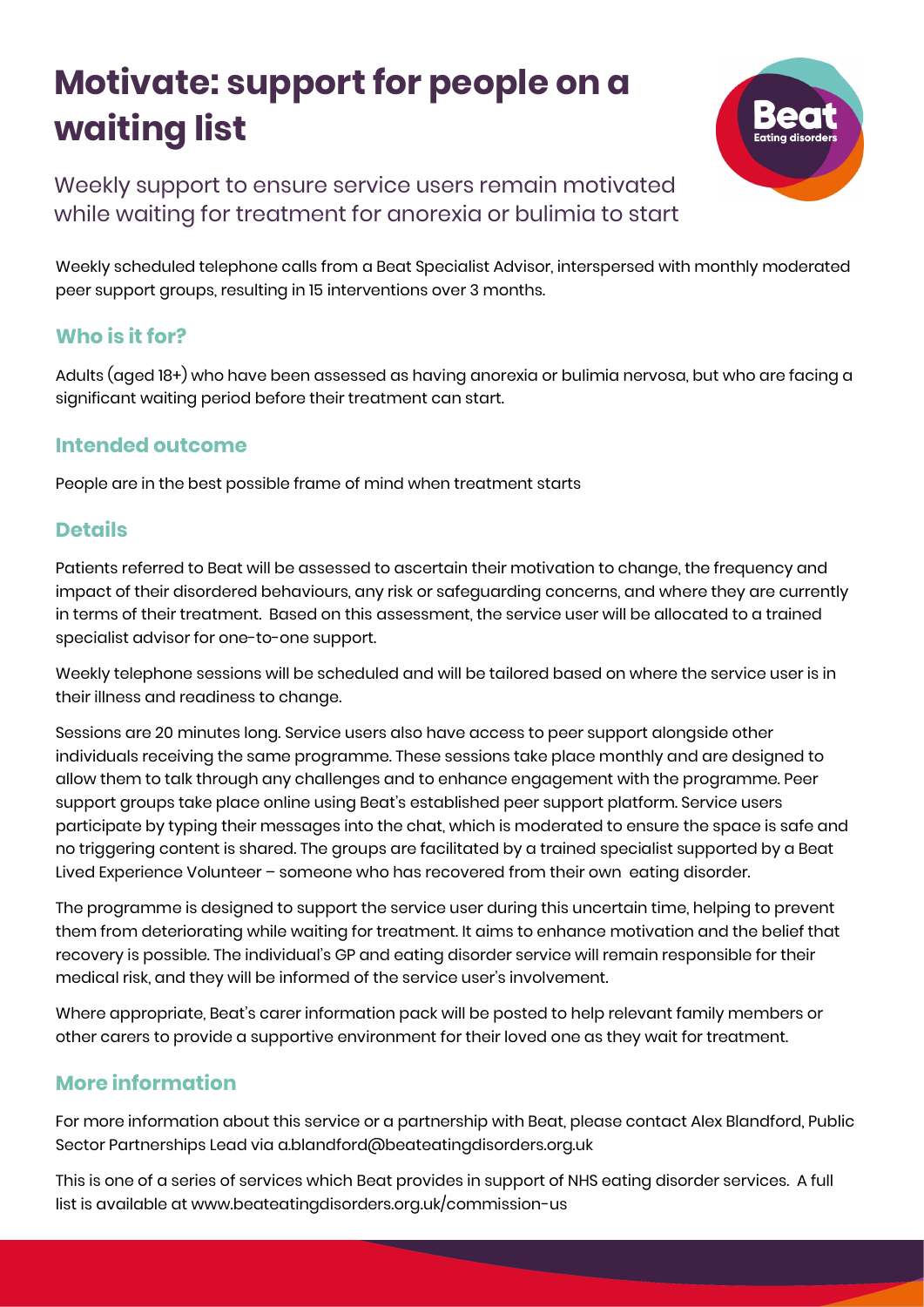# **Motivate: support for people on a waiting list**



Weekly support to ensure service users remain motivated while waiting for treatment for anorexia or bulimia to start

Weekly scheduled telephone calls from a Beat Specialist Advisor, interspersed with monthly moderated peer support groups, resulting in 15 interventions over 3 months.

# **Who is it for?**

Adults (aged 18+) who have been assessed as having anorexia or bulimia nervosa, but who are facing a significant waiting period before their treatment can start.

#### **Intended outcome**

People are in the best possible frame of mind when treatment starts

### **Details**

Patients referred to Beat will be assessed to ascertain their motivation to change, the frequency and impact of their disordered behaviours, any risk or safeguarding concerns, and where they are currently in terms of their treatment. Based on this assessment, the service user will be allocated to a trained specialist advisor for one-to-one support.

Weekly telephone sessions will be scheduled and will be tailored based on where the service user is in their illness and readiness to change.

Sessions are 20 minutes long. Service users also have access to peer support alongside other individuals receiving the same programme. These sessions take place monthly and are designed to allow them to talk through any challenges and to enhance engagement with the programme. Peer support groups take place online using Beat's established peer support platform. Service users participate by typing their messages into the chat, which is moderated to ensure the space is safe and no triggering content is shared. The groups are facilitated by a trained specialist supported by a Beat Lived Experience Volunteer – someone who has recovered from their own eating disorder.

The programme is designed to support the service user during this uncertain time, helping to prevent them from deteriorating while waiting for treatment. It aims to enhance motivation and the belief that recovery is possible. The individual's GP and eating disorder service will remain responsible for their medical risk, and they will be informed of the service user's involvement.

Where appropriate, Beat's carer information pack will be posted to help relevant family members or other carers to provide a supportive environment for their loved one as they wait for treatment.

# **More information**

For more information about this service or a partnership with Beat, please contact Alex Blandford, Public Sector Partnerships Lead via a.blandford@beateatingdisorders.org.uk

This is one of a series of services which Beat provides in support of NHS eating disorder services. A full list is available at www.beateatingdisorders.org.uk/commission-us